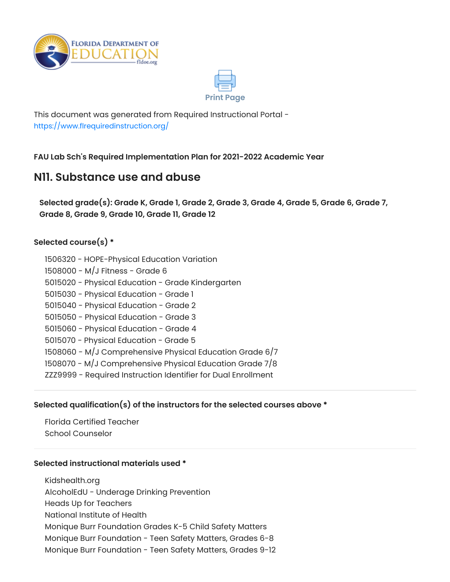



This document was generated from Required Instructional Portal <https://www.flrequiredinstruction.org/>

# **FAU Lab Sch's Required Implementation Plan for 2021-2022 Academic Year**

# **N11. Substance use and abuse**

**Selected grade(s): Grade K, Grade 1, Grade 2, Grade 3, Grade 4, Grade 5, Grade 6, Grade 7, Grade 8, Grade 9, Grade 10, Grade 11, Grade 12**

# **Selected course(s) \***

- 1506320 HOPE-Physical Education Variation
- 1508000 M/J Fitness Grade 6
- 5015020 Physical Education Grade Kindergarten
- 5015030 Physical Education Grade 1
- 5015040 Physical Education Grade 2
- 5015050 Physical Education Grade 3
- 5015060 Physical Education Grade 4
- 5015070 Physical Education Grade 5
- 1508060 M/J Comprehensive Physical Education Grade 6/7
- 1508070 M/J Comprehensive Physical Education Grade 7/8
- ZZZ9999 Required Instruction Identifier for Dual Enrollment

## **Selected qualification(s) of the instructors for the selected courses above \***

Florida Certified Teacher School Counselor

### **Selected instructional materials used \***

Kidshealth.org AlcoholEdU - Underage Drinking Prevention Heads Up for Teachers National Institute of Health Monique Burr Foundation Grades K-5 Child Safety Matters Monique Burr Foundation - Teen Safety Matters, Grades 6-8 Monique Burr Foundation - Teen Safety Matters, Grades 9-12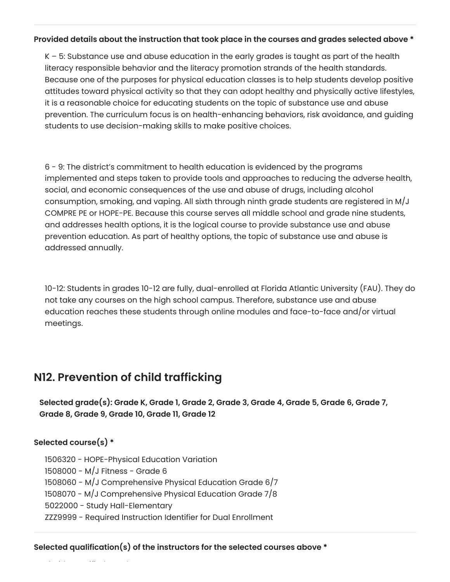### **Provided details about the instruction that took place in the courses and grades selected above \***

 $K - 5$ : Substance use and abuse education in the early grades is taught as part of the health literacy responsible behavior and the literacy promotion strands of the health standards. Because one of the purposes for physical education classes is to help students develop positive attitudes toward physical activity so that they can adopt healthy and physically active lifestyles, it is a reasonable choice for educating students on the topic of substance use and abuse prevention. The curriculum focus is on health-enhancing behaviors, risk avoidance, and guiding students to use decision-making skills to make positive choices.

6 - 9: The district's commitment to health education is evidenced by the programs implemented and steps taken to provide tools and approaches to reducing the adverse health, social, and economic consequences of the use and abuse of drugs, including alcohol consumption, smoking, and vaping. All sixth through ninth grade students are registered in M/J COMPRE PE or HOPE-PE. Because this course serves all middle school and grade nine students, and addresses health options, it is the logical course to provide substance use and abuse prevention education. As part of healthy options, the topic of substance use and abuse is addressed annually.

10-12: Students in grades 10-12 are fully, dual-enrolled at Florida Atlantic University (FAU). They do not take any courses on the high school campus. Therefore, substance use and abuse education reaches these students through online modules and face-to-face and/or virtual meetings.

# **N12. Prevention of child trafficking**

**Selected grade(s): Grade K, Grade 1, Grade 2, Grade 3, Grade 4, Grade 5, Grade 6, Grade 7, Grade 8, Grade 9, Grade 10, Grade 11, Grade 12**

## **Selected course(s) \***

 - HOPE-Physical Education Variation - M/J Fitness - Grade 6 - M/J Comprehensive Physical Education Grade 6/7 - M/J Comprehensive Physical Education Grade 7/8 - Study Hall-Elementary ZZZ9999 - Required Instruction Identifier for Dual Enrollment

### **Selected qualification(s) of the instructors for the selected courses above \***

l id ifi d h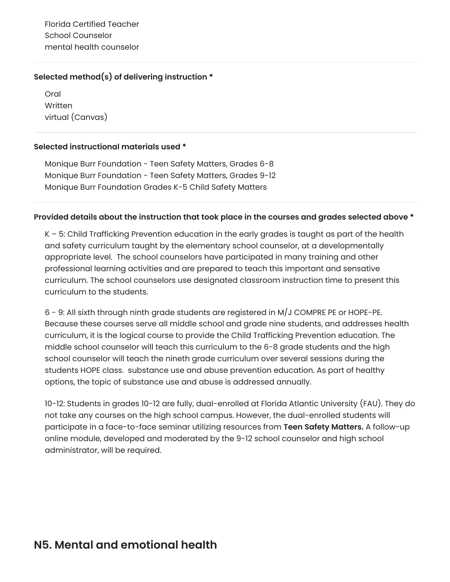Florida Certified Teacher School Counselor mental health counselor

## **Selected method(s) of delivering instruction \***

Oral **Written** virtual (Canvas)

## **Selected instructional materials used \***

Monique Burr Foundation - Teen Safety Matters, Grades 6-8 Monique Burr Foundation - Teen Safety Matters, Grades 9-12 Monique Burr Foundation Grades K-5 Child Safety Matters

## **Provided details about the instruction that took place in the courses and grades selected above \***

K – 5: Child Trafficking Prevention education in the early grades is taught as part of the health and safety curriculum taught by the elementary school counselor, at a developmentally appropriate level. The school counselors have participated in many training and other professional learning activities and are prepared to teach this important and sensative curriculum. The school counselors use designated classroom instruction time to present this curriculum to the students.

6 - 9: All sixth through ninth grade students are registered in M/J COMPRE PE or HOPE-PE. Because these courses serve all middle school and grade nine students, and addresses health curriculum, it is the logical course to provide the Child Trafficking Prevention education. The middle school counselor will teach this curriculum to the 6-8 grade students and the high school counselor will teach the nineth grade curriculum over several sessions during the students HOPE class. substance use and abuse prevention education. As part of healthy options, the topic of substance use and abuse is addressed annually.

10-12: Students in grades 10-12 are fully, dual-enrolled at Florida Atlantic University (FAU). They do not take any courses on the high school campus. However, the dual-enrolled students will participate in a face-to-face seminar utilizing resources from **Teen Safety Matters.** A follow-up online module, developed and moderated by the 9-12 school counselor and high school administrator, will be required.

# **N5. Mental and emotional health**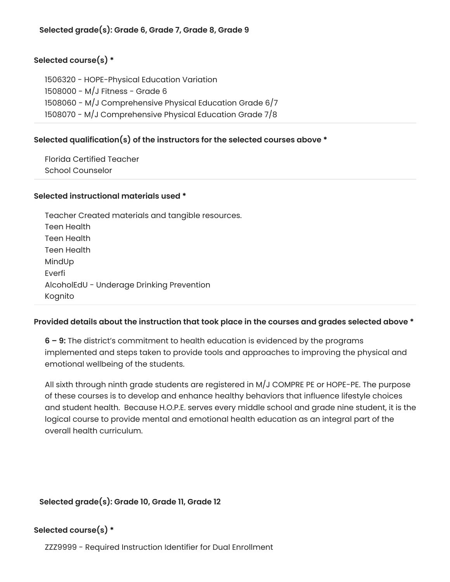# **Selected course(s) \***

 - HOPE-Physical Education Variation - M/J Fitness - Grade 6 - M/J Comprehensive Physical Education Grade 6/7 - M/J Comprehensive Physical Education Grade 7/8

## **Selected qualification(s) of the instructors for the selected courses above \***

Florida Certified Teacher School Counselor

### **Selected instructional materials used \***

Teacher Created materials and tangible resources. Teen Health Teen Health Teen Health MindUp Everfi AlcoholEdU - Underage Drinking Prevention Kognito

### **Provided details about the instruction that took place in the courses and grades selected above \***

**6 – 9:** The district's commitment to health education is evidenced by the programs implemented and steps taken to provide tools and approaches to improving the physical and emotional wellbeing of the students.

All sixth through ninth grade students are registered in M/J COMPRE PE or HOPE-PE. The purpose of these courses is to develop and enhance healthy behaviors that influence lifestyle choices and student health. Because H.O.P.E. serves every middle school and grade nine student, it is the logical course to provide mental and emotional health education as an integral part of the overall health curriculum.

### **Selected grade(s): Grade 10, Grade 11, Grade 12**

## **Selected course(s) \***

ZZZ9999 - Required Instruction Identifier for Dual Enrollment